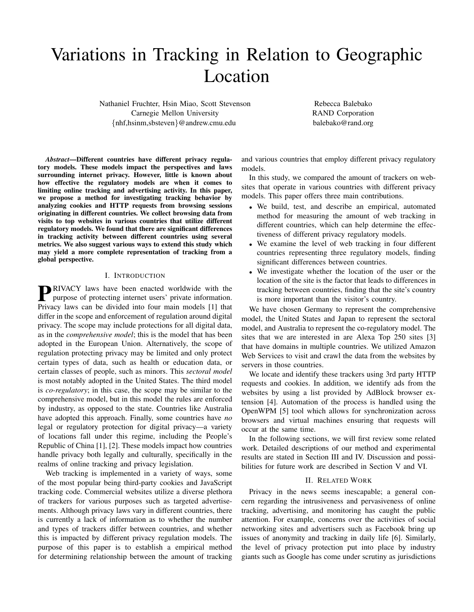# Variations in Tracking in Relation to Geographic Location

Nathaniel Fruchter, Hsin Miao, Scott Stevenson Carnegie Mellon University {nhf,hsinm,sbsteven}@andrew.cmu.edu

Rebecca Balebako RAND Corporation balebako@rand.org

*Abstract*—Different countries have different privacy regulatory models. These models impact the perspectives and laws surrounding internet privacy. However, little is known about how effective the regulatory models are when it comes to limiting online tracking and advertising activity. In this paper, we propose a method for investigating tracking behavior by analyzing cookies and HTTP requests from browsing sessions originating in different countries. We collect browsing data from visits to top websites in various countries that utilize different regulatory models. We found that there are significant differences in tracking activity between different countries using several metrics. We also suggest various ways to extend this study which may yield a more complete representation of tracking from a global perspective.

# I. INTRODUCTION

**P**RIVACY laws have been enacted worldwide with the purpose of protecting internet users' private information. purpose of protecting internet users' private information. Privacy laws can be divided into four main models [1] that differ in the scope and enforcement of regulation around digital privacy. The scope may include protections for all digital data, as in the *comprehensive model*; this is the model that has been adopted in the European Union. Alternatively, the scope of regulation protecting privacy may be limited and only protect certain types of data, such as health or education data, or certain classes of people, such as minors. This *sectoral model* is most notably adopted in the United States. The third model is *co-regulatory*; in this case, the scope may be similar to the comprehensive model, but in this model the rules are enforced by industry, as opposed to the state. Countries like Australia have adopted this approach. Finally, some countries have *no* legal or regulatory protection for digital privacy—a variety of locations fall under this regime, including the People's Republic of China [1], [2]. These models impact how countries handle privacy both legally and culturally, specifically in the realms of online tracking and privacy legislation.

Web tracking is implemented in a variety of ways, some of the most popular being third-party cookies and JavaScript tracking code. Commercial websites utilize a diverse plethora of trackers for various purposes such as targeted advertisements. Although privacy laws vary in different countries, there is currently a lack of information as to whether the number and types of trackers differ between countries, and whether this is impacted by different privacy regulation models. The purpose of this paper is to establish a empirical method for determining relationship between the amount of tracking and various countries that employ different privacy regulatory models.

In this study, we compared the amount of trackers on websites that operate in various countries with different privacy models. This paper offers three main contributions.

- We build, test, and describe an empirical, automated method for measuring the amount of web tracking in different countries, which can help determine the effectiveness of different privacy regulatory models.
- We examine the level of web tracking in four different countries representing three regulatory models, finding significant differences between countries.
- We investigate whether the location of the user or the location of the site is the factor that leads to differences in tracking between countries, finding that the site's country is more important than the visitor's country.

We have chosen Germany to represent the comprehensive model, the United States and Japan to represent the sectoral model, and Australia to represent the co-regulatory model. The sites that we are interested in are Alexa Top 250 sites [3] that have domains in multiple countries. We utilized Amazon Web Services to visit and crawl the data from the websites by servers in those countries.

We locate and identify these trackers using 3rd party HTTP requests and cookies. In addition, we identify ads from the websites by using a list provided by AdBlock browser extension [4]. Automation of the process is handled using the OpenWPM [5] tool which allows for synchronization across browsers and virtual machines ensuring that requests will occur at the same time.

In the following sections, we will first review some related work. Detailed descriptions of our method and experimental results are stated in Section III and IV. Discussion and possibilities for future work are described in Section V and VI.

# II. RELATED WORK

Privacy in the news seems inescapable; a general concern regarding the intrusiveness and pervasiveness of online tracking, advertising, and monitoring has caught the public attention. For example, concerns over the activities of social networking sites and advertisers such as Facebook bring up issues of anonymity and tracking in daily life [6]. Similarly, the level of privacy protection put into place by industry giants such as Google has come under scrutiny as jurisdictions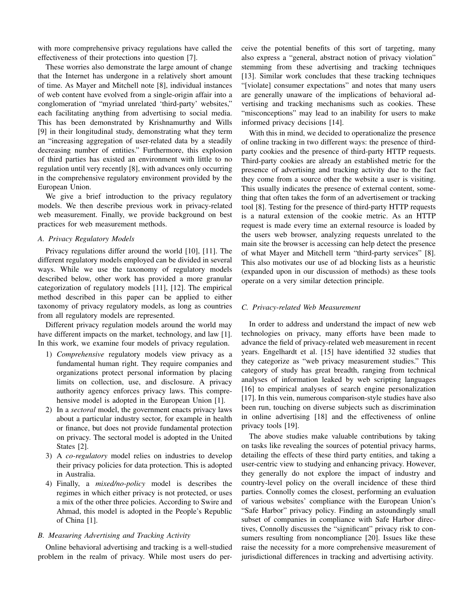with more comprehensive privacy regulations have called the effectiveness of their protections into question [7].

These worries also demonstrate the large amount of change that the Internet has undergone in a relatively short amount of time. As Mayer and Mitchell note [8], individual instances of web content have evolved from a single-origin affair into a conglomeration of "myriad unrelated 'third-party' websites," each facilitating anything from advertising to social media. This has been demonstrated by Krishnamurthy and Wills [9] in their longitudinal study, demonstrating what they term an "increasing aggregation of user-related data by a steadily decreasing number of entities." Furthermore, this explosion of third parties has existed an environment with little to no regulation until very recently [8], with advances only occurring in the comprehensive regulatory environment provided by the European Union.

We give a brief introduction to the privacy regulatory models. We then describe previous work in privacy-related web measurement. Finally, we provide background on best practices for web measurement methods.

# *A. Privacy Regulatory Models*

Privacy regulations differ around the world [10], [11]. The different regulatory models employed can be divided in several ways. While we use the taxonomy of regulatory models described below, other work has provided a more granular categorization of regulatory models [11], [12]. The empirical method described in this paper can be applied to either taxonomy of privacy regulatory models, as long as countries from all regulatory models are represented.

Different privacy regulation models around the world may have different impacts on the market, technology, and law [1]. In this work, we examine four models of privacy regulation.

- 1) *Comprehensive* regulatory models view privacy as a fundamental human right. They require companies and organizations protect personal information by placing limits on collection, use, and disclosure. A privacy authority agency enforces privacy laws. This comprehensive model is adopted in the European Union [1].
- 2) In a *sectoral* model, the government enacts privacy laws about a particular industry sector, for example in health or finance, but does not provide fundamental protection on privacy. The sectoral model is adopted in the United States [2].
- 3) A *co-regulatory* model relies on industries to develop their privacy policies for data protection. This is adopted in Australia.
- 4) Finally, a *mixed/no-policy* model is describes the regimes in which either privacy is not protected, or uses a mix of the other three policies. According to Swire and Ahmad, this model is adopted in the People's Republic of China [1].

# *B. Measuring Advertising and Tracking Activity*

Online behavioral advertising and tracking is a well-studied problem in the realm of privacy. While most users do perceive the potential benefits of this sort of targeting, many also express a "general, abstract notion of privacy violation" stemming from these advertising and tracking techniques [13]. Similar work concludes that these tracking techniques "[violate] consumer expectations" and notes that many users are generally unaware of the implications of behavioral advertising and tracking mechanisms such as cookies. These "misconceptions" may lead to an inability for users to make informed privacy decisions [14].

With this in mind, we decided to operationalize the presence of online tracking in two different ways: the presence of thirdparty cookies and the presence of third-party HTTP requests. Third-party cookies are already an established metric for the presence of advertising and tracking activity due to the fact they come from a source other the website a user is visiting. This usually indicates the presence of external content, something that often takes the form of an advertisement or tracking tool [8]. Testing for the presence of third-party HTTP requests is a natural extension of the cookie metric. As an HTTP request is made every time an external resource is loaded by the users web browser, analyzing requests unrelated to the main site the browser is accessing can help detect the presence of what Mayer and Mitchell term "third-party services" [8]. This also motivates our use of ad blocking lists as a heuristic (expanded upon in our discussion of methods) as these tools operate on a very similar detection principle.

## *C. Privacy-related Web Measurement*

In order to address and understand the impact of new web technologies on privacy, many efforts have been made to advance the field of privacy-related web measurement in recent years. Engelhardt et al. [15] have identified 32 studies that they categorize as "web privacy measurement studies." This category of study has great breadth, ranging from technical analyses of information leaked by web scripting languages [16] to empirical analyses of search engine personalization [17]. In this vein, numerous comparison-style studies have also been run, touching on diverse subjects such as discrimination in online advertising [18] and the effectiveness of online privacy tools [19].

The above studies make valuable contributions by taking on tasks like revealing the sources of potential privacy harms, detailing the effects of these third party entities, and taking a user-centric view to studying and enhancing privacy. However, they generally do not explore the impact of industry and country-level policy on the overall incidence of these third parties. Connolly comes the closest, performing an evaluation of various websites' compliance with the European Union's "Safe Harbor" privacy policy. Finding an astoundingly small subset of companies in compliance with Safe Harbor directives, Connolly discusses the "significant" privacy risk to consumers resulting from noncompliance [20]. Issues like these raise the necessity for a more comprehensive measurement of jurisdictional differences in tracking and advertising activity.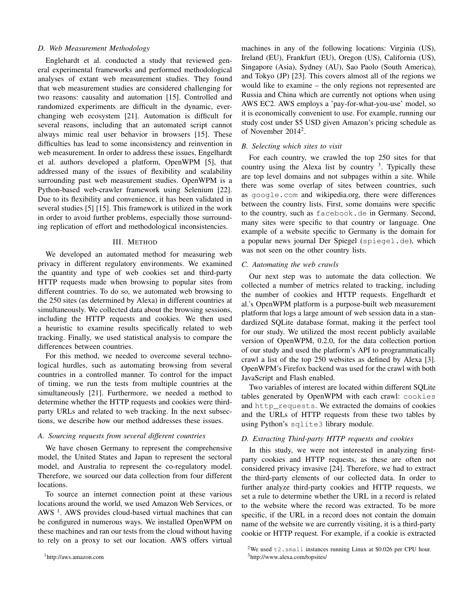## *D. Web Measurement Methodology*

Englehardt et al. conducted a study that reviewed general experimental frameworks and performed methodological analyses of extant web measurement studies. They found that web measurement studies are considered challenging for two reasons: causality and automation [15]. Controlled and randomized experiments are difficult in the dynamic, everchanging web ecosystem [21]. Automation is difficult for several reasons, including that an automated script cannot always mimic real user behavior in browsers [15]. These difficulties has lead to some inconsistency and reinvention in web measurement. In order to address these issues, Engelhardt et al. authors developed a platform, OpenWPM [5], that addressed many of the issues of flexibility and scalability surrounding past web measurement studies. OpenWPM is a Python-based web-crawler framework using Selenium [22]. Due to its flexibility and convenience, it has been validated in several studies [5] [15]. This framework is utilized in the work in order to avoid further problems, especially those surrounding replication of effort and methodological inconsistencies.

# III. METHOD

We developed an automated method for measuring web privacy in different regulatory environments. We examined the quantity and type of web cookies set and third-party HTTP requests made when browsing to popular sites from different countries. To do so, we automated web browsing to the 250 sites (as determined by Alexa) in different countries at simultaneously. We collected data about the browsing sessions, including the HTTP requests and cookies. We then used a heuristic to examine results specifically related to web tracking. Finally, we used statistical analysis to compare the differences between countries.

For this method, we needed to overcome several technological hurdles, such as automating browsing from several countries in a controlled manner. To control for the impact of timing, we run the tests from multiple countries at the simultaneously [21]. Furthermore, we needed a method to determine whether the HTTP requests and cookies were thirdparty URLs and related to web tracking. In the next subsections, we describe how our method addresses these issues.

## *A. Sourcing requests from several different countries*

We have chosen Germany to represent the comprehensive model, the United States and Japan to represent the sectoral model, and Australia to represent the co-regulatory model. Therefore, we sourced our data collection from four different locations.

To source an internet connection point at these various locations around the world, we used Amazon Web Services, or AWS<sup>1</sup>. AWS provides cloud-based virtual machines that can be configured in numerous ways. We installed OpenWPM on these machines and ran our tests from the cloud without having to rely on a proxy to set our location. AWS offers virtual machines in any of the following locations: Virginia (US), Ireland (EU), Frankfurt (EU), Oregon (US), California (US), Singapore (Asia), Sydney (AU), Sao Paolo (South America), and Tokyo (JP) [23]. This covers almost all of the regions we would like to examine – the only regions not represented are Russia and China which are currently not options when using AWS EC2. AWS employs a 'pay-for-what-you-use' model, so it is economically convenient to use. For example, running our study cost under \$5 USD given Amazon's pricing schedule as of November 2014<sup>2</sup>.

### *B. Selecting which sites to visit*

For each country, we crawled the top 250 sites for that country using the Alexa list by country  $3$ . Typically these are top level domains and not subpages within a site. While there was some overlap of sites between countries, such as google.com and wikipedia.org, there were differences between the country lists. First, some domains were specific to the country, such as facebook.de in Germany. Second, many sites were specific to that country or language. One example of a website specific to Germany is the domain for a popular news journal Der Spiegel (spiegel.de), which was not seen on the other country lists.

## *C. Automating the web crawls*

Our next step was to automate the data collection. We collected a number of metrics related to tracking, including the number of cookies and HTTP requests. Engelhardt et al.'s OpenWPM platform is a purpose-built web measurement platform that logs a large amount of web session data in a standardized SQLite database format, making it the perfect tool for our study. We utilized the most recent publicly available version of OpenWPM, 0.2.0, for the data collection portion of our study and used the platform's API to programmatically crawl a list of the top 250 websites as defined by Alexa [3]. OpenWPM's Firefox backend was used for the crawl with both JavaScript and Flash enabled.

Two variables of interest are located within different SQLite tables generated by OpenWPM with each crawl: cookies and http requests. We extracted the domains of cookies and the URLs of HTTP requests from these two tables by using Python's sqlite3 library module.

# *D. Extracting Third-party HTTP requests and cookies*

In this study, we were not interested in analyzing firstparty cookies and HTTP requests, as these are often not considered privacy invasive [24]. Therefore, we had to extract the third-party elements of our collected data. In order to further analyze third-party cookies and HTTP requests, we set a rule to determine whether the URL in a record is related to the website where the record was extracted. To be more specific, if the URL in a record does not contain the domain name of the website we are currently visiting, it is a third-party cookie or HTTP request. For example, if a cookie is extracted

<sup>&</sup>lt;sup>2</sup>We used  $\pm 2$ . small instances running Linux at \$0.026 per CPU hour. <sup>3</sup>http://www.alexa.com/topsites/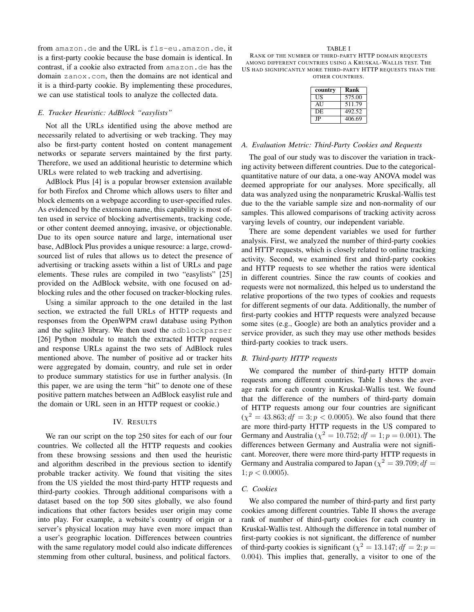from amazon.de and the URL is fls-eu.amazon.de, it is a first-party cookie because the base domain is identical. In contrast, if a cookie also extracted from amazon.de has the domain zanox.com, then the domains are not identical and it is a third-party cookie. By implementing these procedures, we can use statistical tools to analyze the collected data.

# *E. Tracker Heuristic: AdBlock "easylists"*

Not all the URLs identified using the above method are necessarily related to advertising or web tracking. They may also be first-party content hosted on content management networks or separate servers maintained by the first party. Therefore, we used an additional heuristic to determine which URLs were related to web tracking and advertising.

AdBlock Plus [4] is a popular browser extension available for both Firefox and Chrome which allows users to filter and block elements on a webpage according to user-specified rules. As evidenced by the extension name, this capability is most often used in service of blocking advertisements, tracking code, or other content deemed annoying, invasive, or objectionable. Due to its open source nature and large, international user base, AdBlock Plus provides a unique resource: a large, crowdsourced list of rules that allows us to detect the presence of advertising or tracking assets within a list of URLs and page elements. These rules are compiled in two "easylists" [25] provided on the AdBlock website, with one focused on adblocking rules and the other focused on tracker-blocking rules.

Using a similar approach to the one detailed in the last section, we extracted the full URLs of HTTP requests and responses from the OpenWPM crawl database using Python and the sqlite3 library. We then used the adblockparser [26] Python module to match the extracted HTTP request and response URLs against the two sets of AdBlock rules mentioned above. The number of positive ad or tracker hits were aggregated by domain, country, and rule set in order to produce summary statistics for use in further analysis. (In this paper, we are using the term "hit" to denote one of these positive pattern matches between an AdBlock easylist rule and the domain or URL seen in an HTTP request or cookie.)

## IV. RESULTS

We ran our script on the top 250 sites for each of our four countries. We collected all the HTTP requests and cookies from these browsing sessions and then used the heuristic and algorithm described in the previous section to identify probable tracker activity. We found that visiting the sites from the US yielded the most third-party HTTP requests and third-party cookies. Through additional comparisons with a dataset based on the top 500 sites globally, we also found indications that other factors besides user origin may come into play. For example, a website's country of origin or a server's physical location may have even more impact than a user's geographic location. Differences between countries with the same regulatory model could also indicate differences stemming from other cultural, business, and political factors.

#### TABLE I

RANK OF THE NUMBER OF THIRD-PARTY HTTP DOMAIN REQUESTS AMONG DIFFERENT COUNTRIES USING A KRUSKAL-WALLIS TEST. THE US HAD SIGNIFICANTLY MORE THIRD-PARTY HTTP REQUESTS THAN THE OTHER COUNTRIES.

| country | Rank   |
|---------|--------|
| US      | 575.00 |
| AU      | 511.79 |
| DE      | 492.52 |
| JP      | 406.69 |

# *A. Evaluation Metric: Third-Party Cookies and Requests*

The goal of our study was to discover the variation in tracking activity between different countries. Due to the categoricalquantitative nature of our data, a one-way ANOVA model was deemed appropriate for our analyses. More specifically, all data was analyzed using the nonparametric Kruskal-Wallis test due to the the variable sample size and non-normality of our samples. This allowed comparisons of tracking activity across varying levels of country, our independent variable.

There are some dependent variables we used for further analysis. First, we analyzed the number of third-party cookies and HTTP requests, which is closely related to online tracking activity. Second, we examined first and third-party cookies and HTTP requests to see whether the ratios were identical in different countries. Since the raw counts of cookies and requests were not normalized, this helped us to understand the relative proportions of the two types of cookies and requests for different segments of our data. Additionally, the number of first-party cookies and HTTP requests were analyzed because some sites (e.g., Google) are both an analytics provider and a service provider, as such they may use other methods besides third-party cookies to track users.

## *B. Third-party HTTP requests*

We compared the number of third-party HTTP domain requests among different countries. Table I shows the average rank for each country in Kruskal-Wallis test. We found that the difference of the numbers of third-party domain of HTTP requests among our four countries are significant  $(\chi^2 = 43.863; df = 3; p < 0.0005)$ . We also found that there are more third-party HTTP requests in the US compared to Germany and Australia ( $\chi^2 = 10.752; df = 1; p = 0.001$ ). The differences between Germany and Australia were not significant. Moreover, there were more third-party HTTP requests in Germany and Australia compared to Japan ( $\chi^2 = 39.709; df =$  $1; p < 0.0005$ ).

## *C. Cookies*

We also compared the number of third-party and first party cookies among different countries. Table II shows the average rank of number of third-party cookies for each country in Kruskal-Wallis test. Although the difference in total number of first-party cookies is not significant, the difference of number of third-party cookies is significant ( $\chi^2 = 13.147$ ;  $df = 2$ ;  $p =$ 0.004). This implies that, generally, a visitor to one of the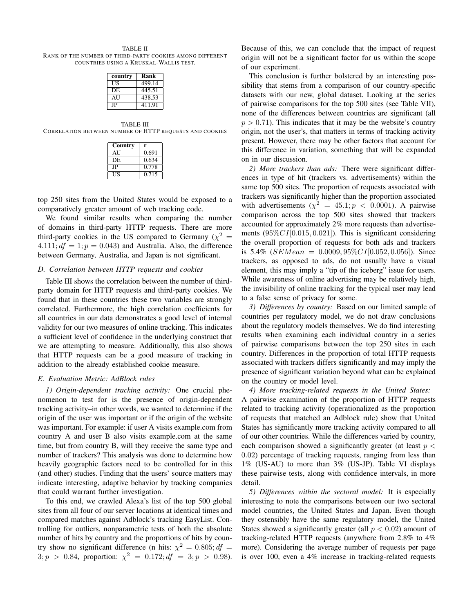TABLE II RANK OF THE NUMBER OF THIRD-PARTY COOKIES AMONG DIFFERENT COUNTRIES USING A KRUSKAL-WALLIS TEST.

| country | Rank   |
|---------|--------|
| US      | 499.14 |
| DE      | 445.51 |
| AU      | 438.53 |
| JΡ      | 411.91 |

TABLE III CORRELATION BETWEEN NUMBER OF HTTP REQUESTS AND COOKIES

| Country | r     |
|---------|-------|
| AU      | 0.691 |
| DE      | 0.634 |
| JP      | 0.778 |
| US      | 0.715 |

top 250 sites from the United States would be exposed to a comparatively greater amount of web tracking code.

We found similar results when comparing the number of domains in third-party HTTP requests. There are more third-party cookies in the US compared to Germany ( $\chi^2$  = 4.111;  $df = 1$ ;  $p = 0.043$ ) and Australia. Also, the difference between Germany, Australia, and Japan is not significant.

# *D. Correlation between HTTP requests and cookies*

Table III shows the correlation between the number of thirdparty domain for HTTP requests and third-party cookies. We found that in these countries these two variables are strongly correlated. Furthermore, the high correlation coefficients for all countries in our data demonstrates a good level of internal validity for our two measures of online tracking. This indicates a sufficient level of confidence in the underlying construct that we are attempting to measure. Additionally, this also shows that HTTP requests can be a good measure of tracking in addition to the already established cookie measure.

## *E. Evaluation Metric: AdBlock rules*

*1) Origin-dependent tracking activity:* One crucial phenomenon to test for is the presence of origin-dependent tracking activity–in other words, we wanted to determine if the origin of the user was important or if the origin of the website was important. For example: if user A visits example.com from country A and user B also visits example.com at the same time, but from country B, will they receive the same type and number of trackers? This analysis was done to determine how heavily geographic factors need to be controlled for in this (and other) studies. Finding that the users' source matters may indicate interesting, adaptive behavior by tracking companies that could warrant further investigation.

To this end, we crawled Alexa's list of the top 500 global sites from all four of our server locations at identical times and compared matches against Adblock's tracking EasyList. Controlling for outliers, nonparametric tests of both the absolute number of hits by country and the proportions of hits by country show no significant difference (n hits:  $\chi^2 = 0.805; df =$  $3; p > 0.84$ , proportion:  $\chi^2 = 0.172; df = 3; p > 0.98$ ).

Because of this, we can conclude that the impact of request origin will not be a significant factor for us within the scope of our experiment.

This conclusion is further bolstered by an interesting possibility that stems from a comparison of our country-specific datasets with our new, global dataset. Looking at the series of pairwise comparisons for the top 500 sites (see Table VII), none of the differences between countries are significant (all  $p > 0.71$ ). This indicates that it may be the website's country origin, not the user's, that matters in terms of tracking activity present. However, there may be other factors that account for this difference in variation, something that will be expanded on in our discussion.

*2) More trackers than ads:* There were significant differences in type of hit (trackers vs. advertisements) within the same top 500 sites. The proportion of requests associated with trackers was significantly higher than the proportion associated with advertisements  $(\chi^2 = 45.1; p < 0.0001)$ . A pairwise comparison across the top 500 sites showed that trackers accounted for approximately 2% more requests than advertisements  $(95\%CI[0.015, 0.021])$ . This is significant considering the overall proportion of requests for both ads and trackers is 5.4% ( $SEMean = 0.0009, 95\% CI[0.052, 0.056]$ ). Since trackers, as opposed to ads, do not usually have a visual element, this may imply a "tip of the iceberg" issue for users. While awareness of online advertising may be relatively high, the invisibility of online tracking for the typical user may lead to a false sense of privacy for some.

*3) Differences by country:* Based on our limited sample of countries per regulatory model, we do not draw conclusions about the regulatory models themselves. We do find interesting results when examining each individual country in a series of pairwise comparisons between the top 250 sites in each country. Differences in the proportion of total HTTP requests associated with trackers differs significantly and may imply the presence of significant variation beyond what can be explained on the country or model level.

*4) More tracking-related requests in the United States:* A pairwise examination of the proportion of HTTP requests related to tracking activity (operationalized as the proportion of requests that matched an Adblock rule) show that United States has significantly more tracking activity compared to all of our other countries. While the differences varied by country, each comparison showed a significantly greater (at least  $p <$ 0.02) percentage of tracking requests, ranging from less than 1% (US-AU) to more than 3% (US-JP). Table VI displays these pairwise tests, along with confidence intervals, in more detail.

*5) Differences within the sectoral model:* It is especially interesting to note the comparisons between our two sectoral model countries, the United States and Japan. Even though they ostensibly have the same regulatory model, the United States showed a significantly greater (all  $p < 0.02$ ) amount of tracking-related HTTP requests (anywhere from 2.8% to 4% more). Considering the average number of requests per page is over 100, even a 4% increase in tracking-related requests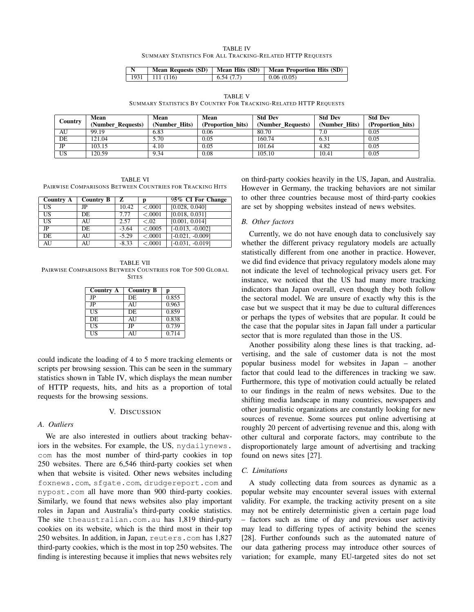TABLE IV SUMMARY STATISTICS FOR ALL TRACKING-RELATED HTTP REQUESTS

| $\mid N$ |                  |           | Mean Requests (SD)   Mean Hits (SD)   Mean Proportion Hits (SD) |
|----------|------------------|-----------|-----------------------------------------------------------------|
|          | 1931   111 (116) | 6.54(7.7) | $\perp$ 0.06 (0.05)                                             |

TABLE V SUMMARY STATISTICS BY COUNTRY FOR TRACKING-RELATED HTTP REQUESTS

|                 | Mean              | Mean          | Mean              | <b>Std Dev</b>    | <b>Std Dev</b> | <b>Std Dev</b>    |
|-----------------|-------------------|---------------|-------------------|-------------------|----------------|-------------------|
| Country         | (Number Requests) | (Number Hits) | (Proportion hits) | (Number_Requests) | (Number Hits)  | (Proportion hits) |
| AU              | 99.19             | 6.83          | 0.06              | 80.70             | 7.0            | 0.05              |
| DE              | 121.04            | 5.70          | 0.05              | 160.74            | 6.31           | 0.05              |
| JP              | 103.15            | 4.10          | 0.05              | 101.64            | 4.82           | 0.05              |
| $\overline{US}$ | 120.59            | 9.34          | 0.08              | 105.10            | 10.41          | 0.05              |

TABLE VI PAIRWISE COMPARISONS BETWEEN COUNTRIES FOR TRACKING HITS

| Country A              | <b>Country B</b> | z       | D       | 95% CI For Change  |
|------------------------|------------------|---------|---------|--------------------|
| US                     | JP               | 10.42   | < .0001 | [0.028, 0.040]     |
| US                     | DE.              | 7.77    | < .0001 | [0.018, 0.031]     |
| $\overline{\text{US}}$ | AU               | 2.57    | < .02   | [0.001, 0.014]     |
| $_{\rm JP}$            | DE.              | $-3.64$ | < .0005 | $[-0.013, -0.002]$ |
| DE                     | AU               | $-5.29$ | < .0001 | $[-0.021, -0.009]$ |
| AU                     | AU               | $-8.33$ | < .0001 | $[-0.031, -0.019]$ |

TABLE VII PAIRWISE COMPARISONS BETWEEN COUNTRIES FOR TOP 500 GLOBAL **SITES** 

| <b>Country A</b> | <b>Country B</b> | р     |
|------------------|------------------|-------|
| JP               | DE               | 0.855 |
| JP               | AU               | 0.963 |
| US               | DE.              | 0.859 |
| DE.              | AU               | 0.838 |
| US               | JP               | 0.739 |
| US               | AU               | 0.714 |

could indicate the loading of 4 to 5 more tracking elements or scripts per browsing session. This can be seen in the summary statistics shown in Table IV, which displays the mean number of HTTP requests, hits, and hits as a proportion of total requests for the browsing sessions.

## V. DISCUSSION

## *A. Outliers*

We are also interested in outliers about tracking behaviors in the websites. For example, the US, nydailynews. com has the most number of third-party cookies in top 250 websites. There are 6,546 third-party cookies set when when that website is visited. Other news websites including foxnews.com, sfgate.com, drudgereport.com and nypost.com all have more than 900 third-party cookies. Similarly, we found that news websites also play important roles in Japan and Australia's third-party cookie statistics. The site theaustralian.com.au has 1,819 third-party cookies on its website, which is the third most in their top 250 websites. In addition, in Japan, reuters.com has 1,827 third-party cookies, which is the most in top 250 websites. The finding is interesting because it implies that news websites rely on third-party cookies heavily in the US, Japan, and Australia. However in Germany, the tracking behaviors are not similar to other three countries because most of third-party cookies are set by shopping websites instead of news websites.

## *B. Other factors*

Currently, we do not have enough data to conclusively say whether the different privacy regulatory models are actually statistically different from one another in practice. However, we did find evidence that privacy regulatory models alone may not indicate the level of technological privacy users get. For instance, we noticed that the US had many more tracking indicators than Japan overall, even though they both follow the sectoral model. We are unsure of exactly why this is the case but we suspect that it may be due to cultural differences or perhaps the types of websites that are popular. It could be the case that the popular sites in Japan fall under a particular sector that is more regulated than those in the US.

Another possibility along these lines is that tracking, advertising, and the sale of customer data is not the most popular business model for websites in Japan – another factor that could lead to the differences in tracking we saw. Furthermore, this type of motivation could actually be related to our findings in the realm of news websites. Due to the shifting media landscape in many countries, newspapers and other journalistic organizations are constantly looking for new sources of revenue. Some sources put online advertising at roughly 20 percent of advertising revenue and this, along with other cultural and corporate factors, may contribute to the disproportionately large amount of advertising and tracking found on news sites [27].

## *C. Limitations*

A study collecting data from sources as dynamic as a popular website may encounter several issues with external validity. For example, the tracking activity present on a site may not be entirely deterministic given a certain page load – factors such as time of day and previous user activity may lead to differing types of activity behind the scenes [28]. Further confounds such as the automated nature of our data gathering process may introduce other sources of variation; for example, many EU-targeted sites do not set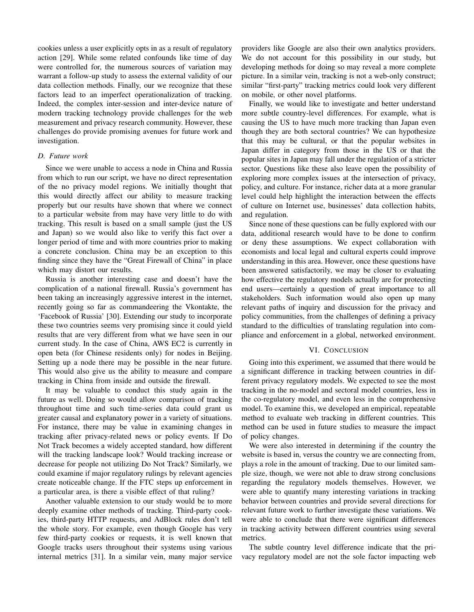cookies unless a user explicitly opts in as a result of regulatory action [29]. While some related confounds like time of day were controlled for, the numerous sources of variation may warrant a follow-up study to assess the external validity of our data collection methods. Finally, our we recognize that these factors lead to an imperfect operationalization of tracking. Indeed, the complex inter-session and inter-device nature of modern tracking technology provide challenges for the web measurement and privacy research community. However, these challenges do provide promising avenues for future work and investigation.

## *D. Future work*

Since we were unable to access a node in China and Russia from which to run our script, we have no direct representation of the no privacy model regions. We initially thought that this would directly affect our ability to measure tracking properly but our results have shown that where we connect to a particular website from may have very little to do with tracking. This result is based on a small sample (just the US and Japan) so we would also like to verify this fact over a longer period of time and with more countries prior to making a concrete conclusion. China may be an exception to this finding since they have the "Great Firewall of China" in place which may distort our results.

Russia is another interesting case and doesn't have the complication of a national firewall. Russia's government has been taking an increasingly aggressive interest in the internet, recently going so far as commandeering the Vkontakte, the 'Facebook of Russia' [30]. Extending our study to incorporate these two countries seems very promising since it could yield results that are very different from what we have seen in our current study. In the case of China, AWS EC2 is currently in open beta (for Chinese residents only) for nodes in Beijing. Setting up a node there may be possible in the near future. This would also give us the ability to measure and compare tracking in China from inside and outside the firewall.

It may be valuable to conduct this study again in the future as well. Doing so would allow comparison of tracking throughout time and such time-series data could grant us greater causal and explanatory power in a variety of situations. For instance, there may be value in examining changes in tracking after privacy-related news or policy events. If Do Not Track becomes a widely accepted standard, how different will the tracking landscape look? Would tracking increase or decrease for people not utilizing Do Not Track? Similarly, we could examine if major regulatory rulings by relevant agencies create noticeable change. If the FTC steps up enforcement in a particular area, is there a visible effect of that ruling?

Another valuable extension to our study would be to more deeply examine other methods of tracking. Third-party cookies, third-party HTTP requests, and AdBlock rules don't tell the whole story. For example, even though Google has very few third-party cookies or requests, it is well known that Google tracks users throughout their systems using various internal metrics [31]. In a similar vein, many major service providers like Google are also their own analytics providers. We do not account for this possibility in our study, but developing methods for doing so may reveal a more complete picture. In a similar vein, tracking is not a web-only construct; similar "first-party" tracking metrics could look very different on mobile, or other novel platforms.

Finally, we would like to investigate and better understand more subtle country-level differences. For example, what is causing the US to have much more tracking than Japan even though they are both sectoral countries? We can hypothesize that this may be cultural, or that the popular websites in Japan differ in category from those in the US or that the popular sites in Japan may fall under the regulation of a stricter sector. Questions like these also leave open the possibility of exploring more complex issues at the intersection of privacy, policy, and culture. For instance, richer data at a more granular level could help highlight the interaction between the effects of culture on Internet use, businesses' data collection habits, and regulation.

Since none of these questions can be fully explored with our data, additional research would have to be done to confirm or deny these assumptions. We expect collaboration with economists and local legal and cultural experts could improve understanding in this area. However, once these questions have been answered satisfactorily, we may be closer to evaluating how effective the regulatory models actually are for protecting end users—certainly a question of great importance to all stakeholders. Such information would also open up many relevant paths of inquiry and discussion for the privacy and policy communities, from the challenges of defining a privacy standard to the difficulties of translating regulation into compliance and enforcement in a global, networked environment.

## VI. CONCLUSION

Going into this experiment, we assumed that there would be a significant difference in tracking between countries in different privacy regulatory models. We expected to see the most tracking in the no-model and sectoral model countries, less in the co-regulatory model, and even less in the comprehensive model. To examine this, we developed an empirical, repeatable method to evaluate web tracking in different countries. This method can be used in future studies to measure the impact of policy changes.

We were also interested in determining if the country the website is based in, versus the country we are connecting from, plays a role in the amount of tracking. Due to our limited sample size, though, we were not able to draw strong conclusions regarding the regulatory models themselves. However, we were able to quantify many interesting variations in tracking behavior between countries and provide several directions for relevant future work to further investigate these variations. We were able to conclude that there were significant differences in tracking activity between different countries using several metrics.

The subtle country level difference indicate that the privacy regulatory model are not the sole factor impacting web